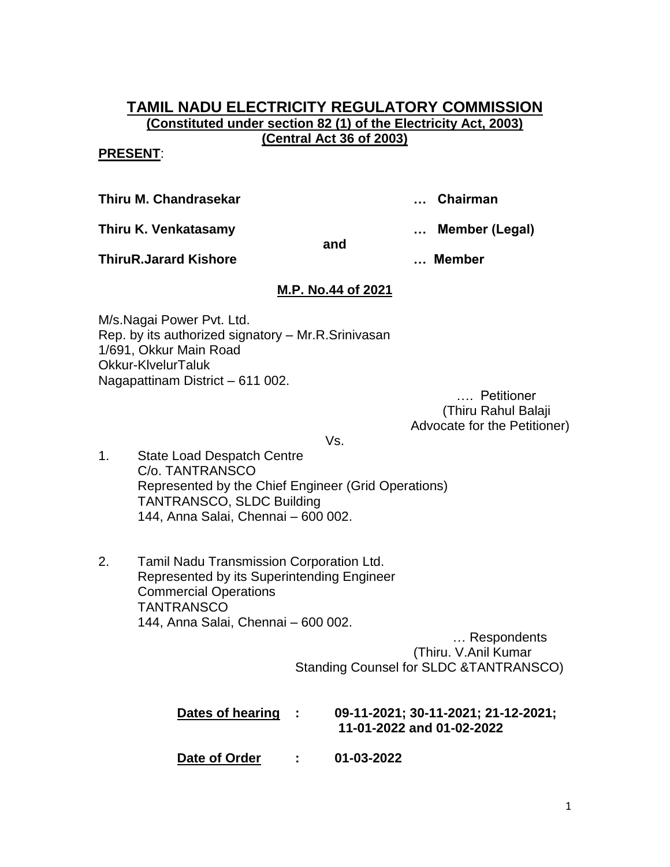## **TAMIL NADU ELECTRICITY REGULATORY COMMISSION (Constituted under section 82 (1) of the Electricity Act, 2003) (Central Act 36 of 2003)**

#### **PRESENT**:

**Thiru M. Chandrasekar … Chairman**

**Thiru K. Venkatasamy … Member (Legal)**

**and**

**ThiruR.Jarard Kishore … Member**

# **M.P. No.44 of 2021**

M/s.Nagai Power Pvt. Ltd. Rep. by its authorized signatory – Mr.R.Srinivasan 1/691, Okkur Main Road Okkur-KlvelurTaluk Nagapattinam District – 611 002.

…. Petitioner (Thiru Rahul Balaji Advocate for the Petitioner)

Vs.

- 1. State Load Despatch Centre C/o. TANTRANSCO Represented by the Chief Engineer (Grid Operations) TANTRANSCO, SLDC Building 144, Anna Salai, Chennai – 600 002.
- 2. Tamil Nadu Transmission Corporation Ltd. Represented by its Superintending Engineer Commercial Operations **TANTRANSCO** 144, Anna Salai, Chennai – 600 002.

 … Respondents (Thiru. V.Anil Kumar Standing Counsel for SLDC &TANTRANSCO)

| Dates of hearing | <b>Contract</b> | 09-11-2021; 30-11-2021; 21-12-2021;<br>11-01-2022 and 01-02-2022 |
|------------------|-----------------|------------------------------------------------------------------|
| Date of Order    |                 | 01-03-2022                                                       |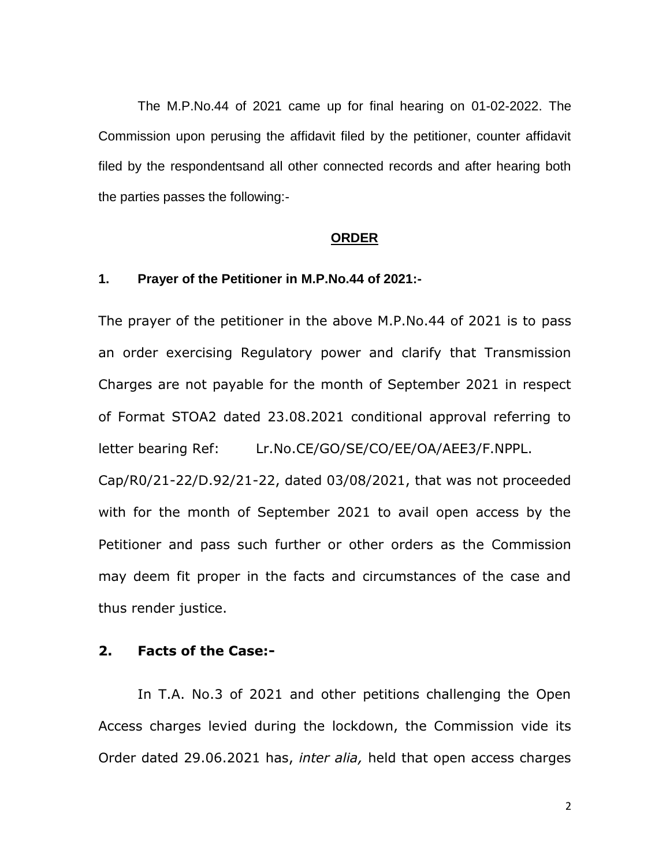The M.P.No.44 of 2021 came up for final hearing on 01-02-2022. The Commission upon perusing the affidavit filed by the petitioner, counter affidavit filed by the respondentsand all other connected records and after hearing both the parties passes the following:-

#### **ORDER**

#### **1. Prayer of the Petitioner in M.P.No.44 of 2021:-**

The prayer of the petitioner in the above M.P.No.44 of 2021 is to pass an order exercising Regulatory power and clarify that Transmission Charges are not payable for the month of September 2021 in respect of Format STOA2 dated 23.08.2021 conditional approval referring to letter bearing Ref: Lr.No.CE/GO/SE/CO/EE/OA/AEE3/F.NPPL. Cap/R0/21-22/D.92/21-22, dated 03/08/2021, that was not proceeded with for the month of September 2021 to avail open access by the Petitioner and pass such further or other orders as the Commission may deem fit proper in the facts and circumstances of the case and thus render justice.

#### **2. Facts of the Case:-**

In T.A. No.3 of 2021 and other petitions challenging the Open Access charges levied during the lockdown, the Commission vide its Order dated 29.06.2021 has, *inter alia,* held that open access charges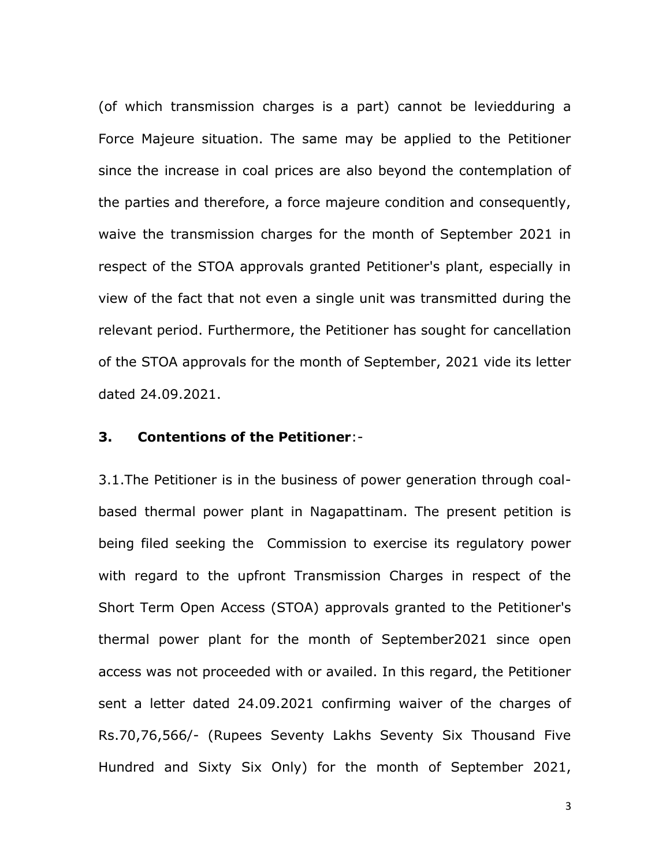(of which transmission charges is a part) cannot be leviedduring a Force Majeure situation. The same may be applied to the Petitioner since the increase in coal prices are also beyond the contemplation of the parties and therefore, a force majeure condition and consequently, waive the transmission charges for the month of September 2021 in respect of the STOA approvals granted Petitioner's plant, especially in view of the fact that not even a single unit was transmitted during the relevant period. Furthermore, the Petitioner has sought for cancellation of the STOA approvals for the month of September, 2021 vide its letter dated 24.09.2021.

#### **3. Contentions of the Petitioner**:-

3.1.The Petitioner is in the business of power generation through coalbased thermal power plant in Nagapattinam. The present petition is being filed seeking the Commission to exercise its regulatory power with regard to the upfront Transmission Charges in respect of the Short Term Open Access (STOA) approvals granted to the Petitioner's thermal power plant for the month of September2021 since open access was not proceeded with or availed. In this regard, the Petitioner sent a letter dated 24.09.2021 confirming waiver of the charges of Rs.70,76,566/- (Rupees Seventy Lakhs Seventy Six Thousand Five Hundred and Sixty Six Only) for the month of September 2021,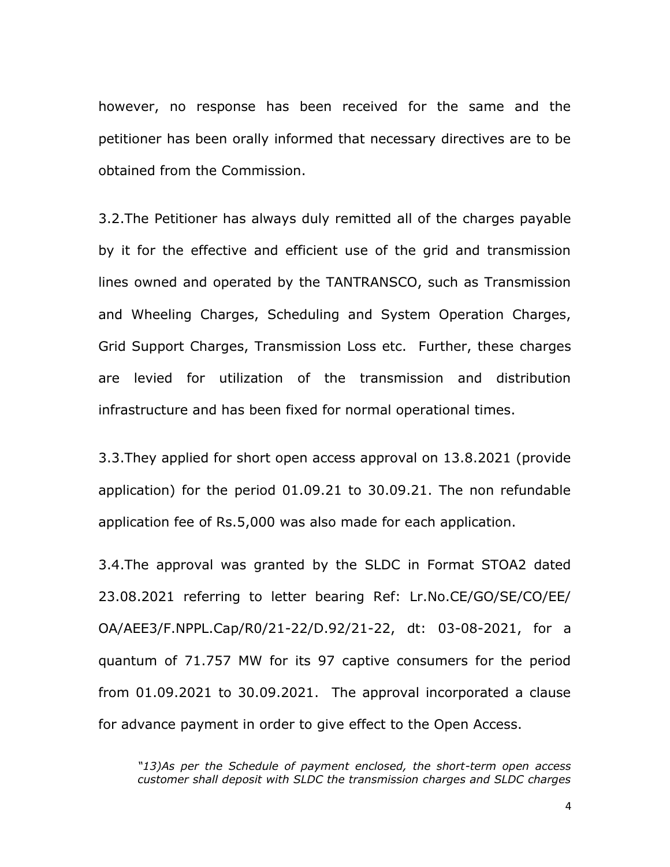however, no response has been received for the same and the petitioner has been orally informed that necessary directives are to be obtained from the Commission.

3.2.The Petitioner has always duly remitted all of the charges payable by it for the effective and efficient use of the grid and transmission lines owned and operated by the TANTRANSCO, such as Transmission and Wheeling Charges, Scheduling and System Operation Charges, Grid Support Charges, Transmission Loss etc. Further, these charges are levied for utilization of the transmission and distribution infrastructure and has been fixed for normal operational times.

3.3.They applied for short open access approval on 13.8.2021 (provide application) for the period 01.09.21 to 30.09.21. The non refundable application fee of Rs.5,000 was also made for each application.

3.4.The approval was granted by the SLDC in Format STOA2 dated 23.08.2021 referring to letter bearing Ref: Lr.No.CE/GO/SE/CO/EE/ OA/AEE3/F.NPPL.Cap/R0/21-22/D.92/21-22, dt: 03-08-2021, for a quantum of 71.757 MW for its 97 captive consumers for the period from 01.09.2021 to 30.09.2021. The approval incorporated a clause for advance payment in order to give effect to the Open Access.

*"13)As per the Schedule of payment enclosed, the short-term open access customer shall deposit with SLDC the transmission charges and SLDC charges*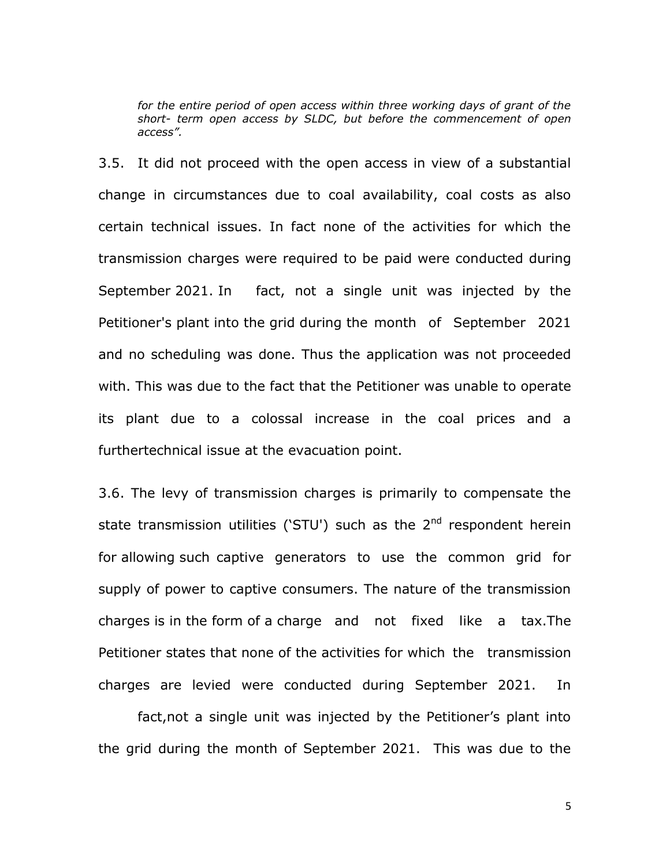*for the entire period of open access within three working days of grant of the short- term open access by SLDC, but before the commencement of open access".*

3.5. It did not proceed with the open access in view of a substantial change in circumstances due to coal availability, coal costs as also certain technical issues. In fact none of the activities for which the transmission charges were required to be paid were conducted during September 2021. In fact, not a single unit was injected by the Petitioner's plant into the grid during the month of September 2021 and no scheduling was done. Thus the application was not proceeded with. This was due to the fact that the Petitioner was unable to operate its plant due to a colossal increase in the coal prices and a furthertechnical issue at the evacuation point.

3.6. The levy of transmission charges is primarily to compensate the state transmission utilities ('STU') such as the  $2^{nd}$  respondent herein for allowing such captive generators to use the common grid for supply of power to captive consumers. The nature of the transmission charges is in the form of a charge and not fixed like a tax.The Petitioner states that none of the activities for which the transmission charges are levied were conducted during September 2021. In

fact, not a single unit was injected by the Petitioner's plant into the grid during the month of September 2021. This was due to the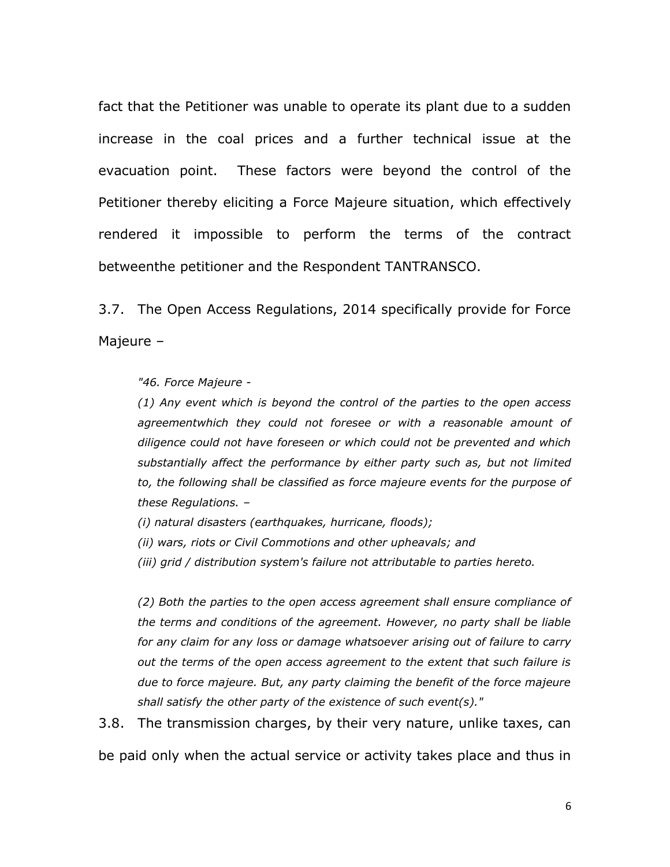fact that the Petitioner was unable to operate its plant due to a sudden increase in the coal prices and a further technical issue at the evacuation point. These factors were beyond the control of the Petitioner thereby eliciting a Force Majeure situation, which effectively rendered it impossible to perform the terms of the contract betweenthe petitioner and the Respondent TANTRANSCO.

3.7. The Open Access Regulations, 2014 specifically provide for Force Majeure –

*"46. Force Majeure -*

*(1) Any event which is beyond the control of the parties to the open access agreementwhich they could not foresee or with a reasonable amount of diligence could not have foreseen or which could not be prevented and which substantially affect the performance by either party such as, but not limited to, the following shall be classified as force majeure events for the purpose of these Regulations. –*

*(i) natural disasters (earthquakes, hurricane, floods);* 

*(ii) wars, riots or Civil Commotions and other upheavals; and* 

*(iii) grid / distribution system's failure not attributable to parties hereto.*

*(2) Both the parties to the open access agreement shall ensure compliance of the terms and conditions of the agreement. However, no party shall be liable for any claim for any loss or damage whatsoever arising out of failure to carry out the terms of the open access agreement to the extent that such failure is due to force majeure. But, any party claiming the benefit of the force majeure shall satisfy the other party of the existence of such event(s)."* 

3.8. The transmission charges, by their very nature, unlike taxes, can be paid only when the actual service or activity takes place and thus in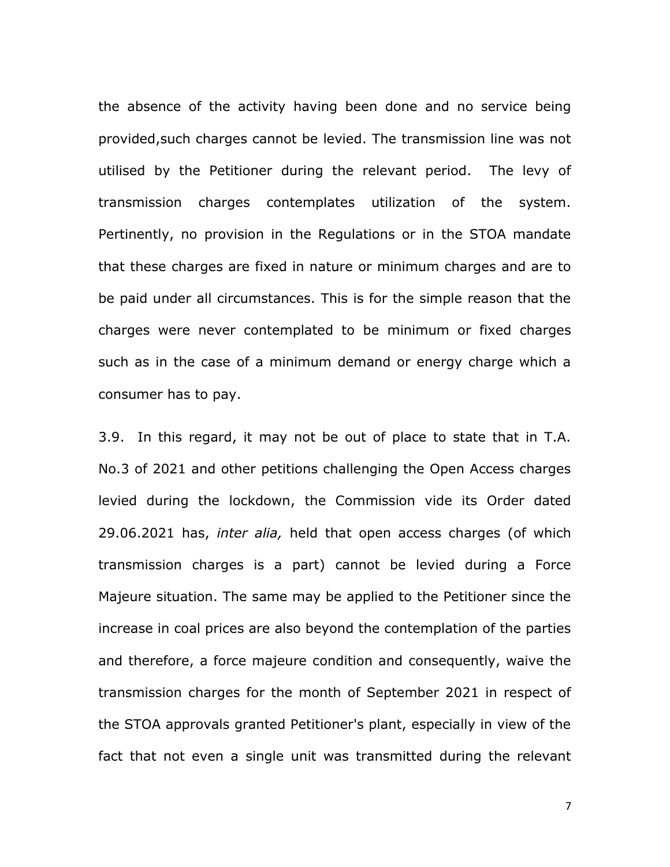the absence of the activity having been done and no service being provided,such charges cannot be levied. The transmission line was not utilised by the Petitioner during the relevant period. The levy of transmission charges contemplates utilization of the system. Pertinently, no provision in the Regulations or in the STOA mandate that these charges are fixed in nature or minimum charges and are to be paid under all circumstances. This is for the simple reason that the charges were never contemplated to be minimum or fixed charges such as in the case of a minimum demand or energy charge which a consumer has to pay.

3.9. In this regard, it may not be out of place to state that in T.A. No.3 of 2021 and other petitions challenging the Open Access charges levied during the lockdown, the Commission vide its Order dated 29.06.2021 has, *inter alia,* held that open access charges (of which transmission charges is a part) cannot be levied during a Force Majeure situation. The same may be applied to the Petitioner since the increase in coal prices are also beyond the contemplation of the parties and therefore, a force majeure condition and consequently, waive the transmission charges for the month of September 2021 in respect of the STOA approvals granted Petitioner's plant, especially in view of the fact that not even a single unit was transmitted during the relevant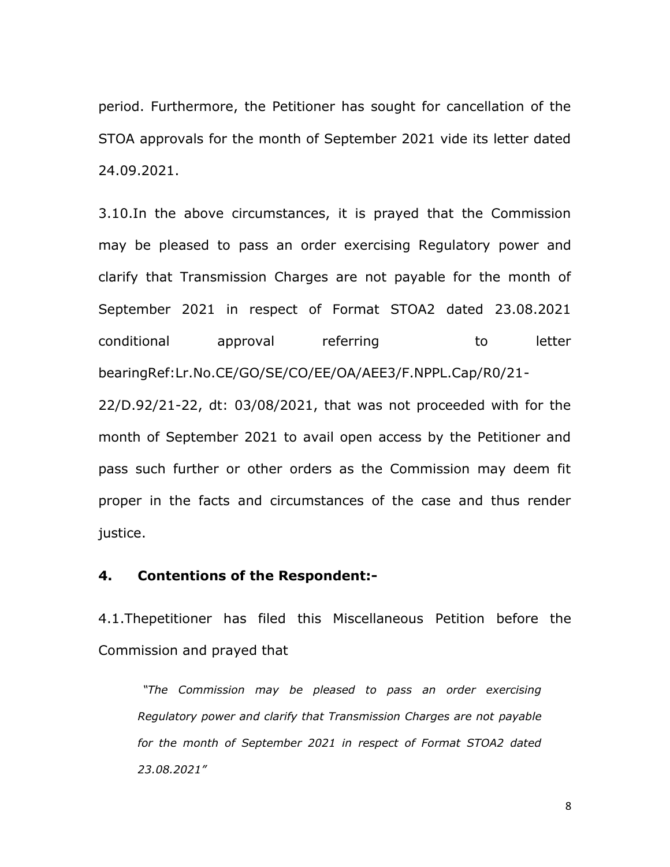period. Furthermore, the Petitioner has sought for cancellation of the STOA approvals for the month of September 2021 vide its letter dated 24.09.2021.

3.10.In the above circumstances, it is prayed that the Commission may be pleased to pass an order exercising Regulatory power and clarify that Transmission Charges are not payable for the month of September 2021 in respect of Format STOA2 dated 23.08.2021 conditional approval referring to letter bearingRef:Lr.No.CE/GO/SE/CO/EE/OA/AEE3/F.NPPL.Cap/R0/21-

22/D.92/21-22, dt: 03/08/2021, that was not proceeded with for the month of September 2021 to avail open access by the Petitioner and pass such further or other orders as the Commission may deem fit proper in the facts and circumstances of the case and thus render justice.

### **4. Contentions of the Respondent:-**

4.1.Thepetitioner has filed this Miscellaneous Petition before the Commission and prayed that

*"The Commission may be pleased to pass an order exercising Regulatory power and clarify that Transmission Charges are not payable for the month of September 2021 in respect of Format STOA2 dated 23.08.2021"*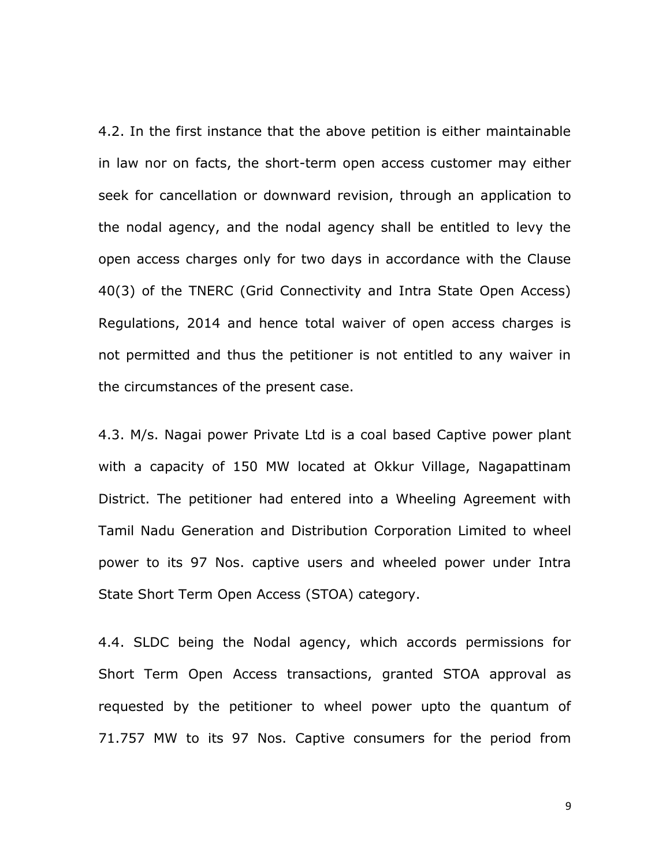4.2. In the first instance that the above petition is either maintainable in law nor on facts, the short-term open access customer may either seek for cancellation or downward revision, through an application to the nodal agency, and the nodal agency shall be entitled to levy the open access charges only for two days in accordance with the Clause 40(3) of the TNERC (Grid Connectivity and Intra State Open Access) Regulations, 2014 and hence total waiver of open access charges is not permitted and thus the petitioner is not entitled to any waiver in the circumstances of the present case.

4.3. M/s. Nagai power Private Ltd is a coal based Captive power plant with a capacity of 150 MW located at Okkur Village, Nagapattinam District. The petitioner had entered into a Wheeling Agreement with Tamil Nadu Generation and Distribution Corporation Limited to wheel power to its 97 Nos. captive users and wheeled power under Intra State Short Term Open Access (STOA) category.

4.4. SLDC being the Nodal agency, which accords permissions for Short Term Open Access transactions, granted STOA approval as requested by the petitioner to wheel power upto the quantum of 71.757 MW to its 97 Nos. Captive consumers for the period from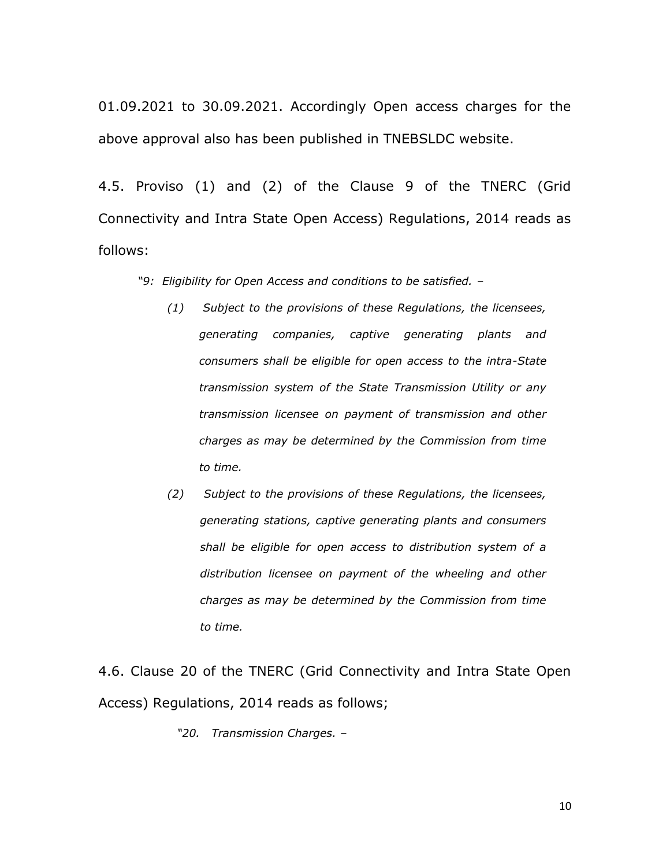01.09.2021 to 30.09.2021. Accordingly Open access charges for the above approval also has been published in TNEBSLDC website.

4.5. Proviso (1) and (2) of the Clause 9 of the TNERC (Grid Connectivity and Intra State Open Access) Regulations, 2014 reads as follows:

*"9: Eligibility for Open Access and conditions to be satisfied. –*

- *(1) Subject to the provisions of these Regulations, the licensees, generating companies, captive generating plants and consumers shall be eligible for open access to the intra-State transmission system of the State Transmission Utility or any transmission licensee on payment of transmission and other charges as may be determined by the Commission from time to time.*
- *(2) Subject to the provisions of these Regulations, the licensees, generating stations, captive generating plants and consumers shall be eligible for open access to distribution system of a distribution licensee on payment of the wheeling and other charges as may be determined by the Commission from time to time.*

4.6. Clause 20 of the TNERC (Grid Connectivity and Intra State Open Access) Regulations, 2014 reads as follows;

*"20. Transmission Charges. –*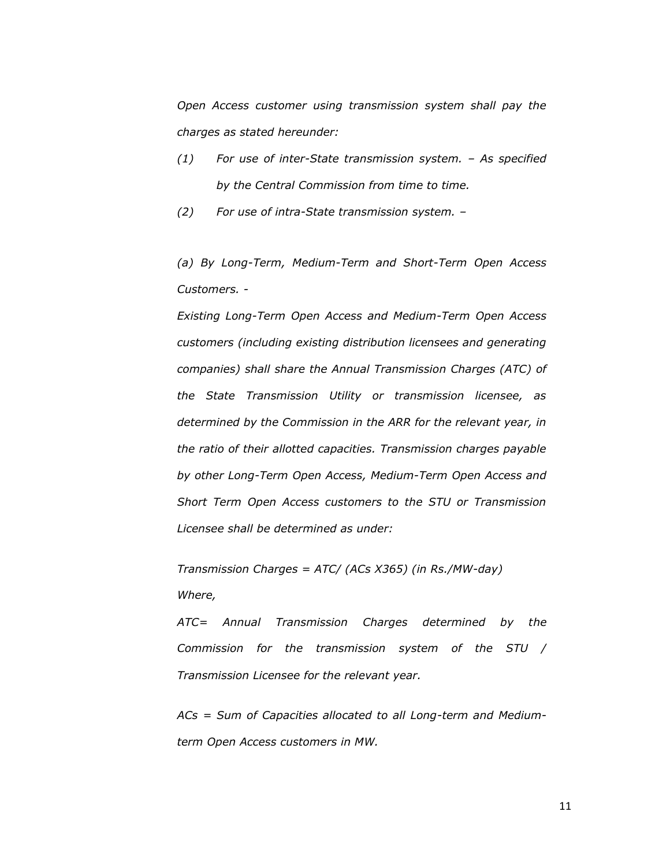*Open Access customer using transmission system shall pay the charges as stated hereunder:*

*(1) For use of inter-State transmission system. – As specified by the Central Commission from time to time.*

*(2) For use of intra-State transmission system. –*

*(a) By Long-Term, Medium-Term and Short-Term Open Access Customers. -*

*Existing Long-Term Open Access and Medium-Term Open Access customers (including existing distribution licensees and generating companies) shall share the Annual Transmission Charges (ATC) of the State Transmission Utility or transmission licensee, as determined by the Commission in the ARR for the relevant year, in the ratio of their allotted capacities. Transmission charges payable by other Long-Term Open Access, Medium-Term Open Access and Short Term Open Access customers to the STU or Transmission Licensee shall be determined as under:*

*Transmission Charges = ATC/ (ACs X365) (in Rs./MW-day)*

*Where,*

*ATC= Annual Transmission Charges determined by the Commission for the transmission system of the STU / Transmission Licensee for the relevant year.*

*ACs = Sum of Capacities allocated to all Long-term and Mediumterm Open Access customers in MW.*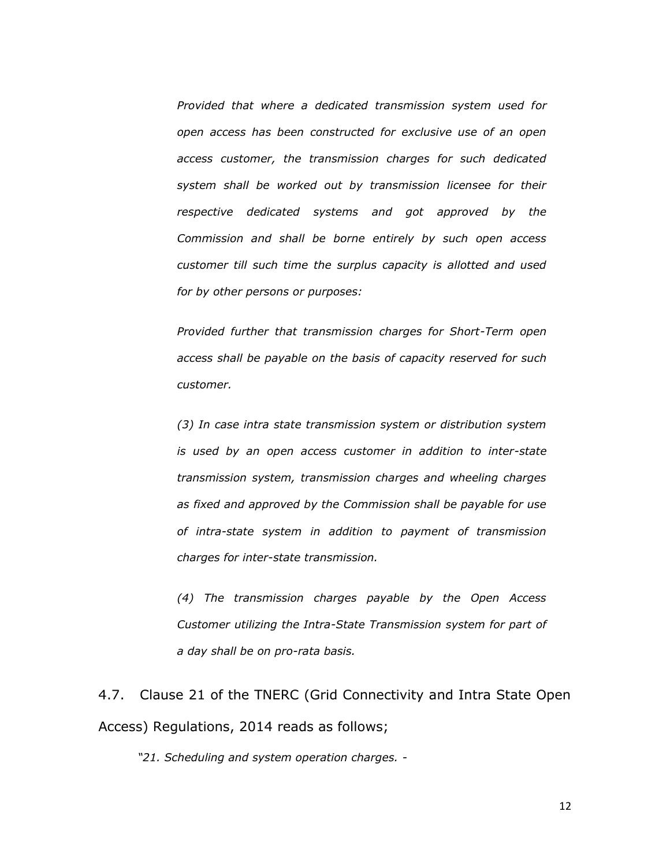*Provided that where a dedicated transmission system used for open access has been constructed for exclusive use of an open access customer, the transmission charges for such dedicated system shall be worked out by transmission licensee for their respective dedicated systems and got approved by the Commission and shall be borne entirely by such open access customer till such time the surplus capacity is allotted and used for by other persons or purposes:*

*Provided further that transmission charges for Short-Term open access shall be payable on the basis of capacity reserved for such customer.*

*(3) In case intra state transmission system or distribution system is used by an open access customer in addition to inter-state transmission system, transmission charges and wheeling charges as fixed and approved by the Commission shall be payable for use of intra-state system in addition to payment of transmission charges for inter-state transmission.*

*(4) The transmission charges payable by the Open Access Customer utilizing the Intra-State Transmission system for part of a day shall be on pro-rata basis.*

4.7. Clause 21 of the TNERC (Grid Connectivity and Intra State Open Access) Regulations, 2014 reads as follows;

*"21. Scheduling and system operation charges. -*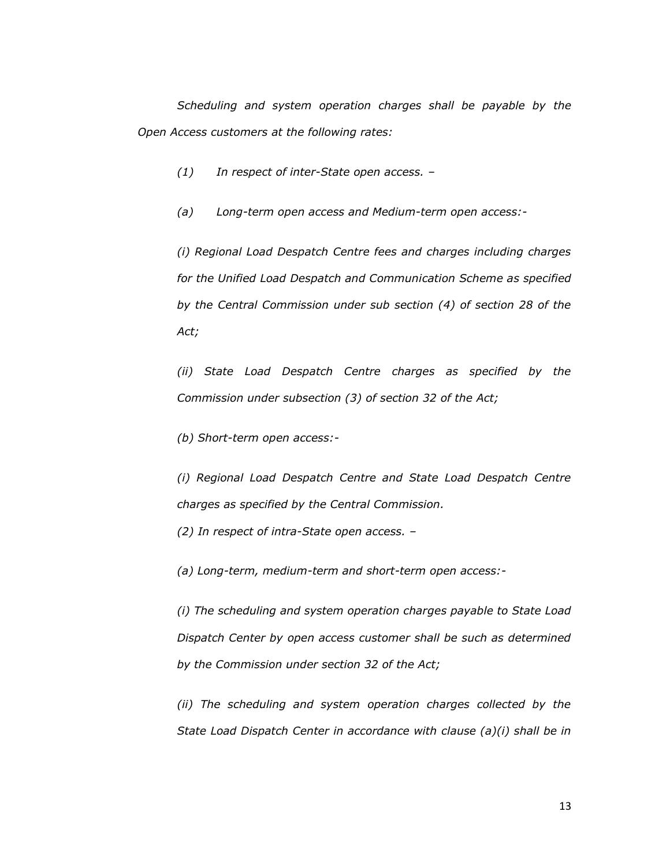*Scheduling and system operation charges shall be payable by the Open Access customers at the following rates:*

- *(1) In respect of inter-State open access. –*
- *(a) Long-term open access and Medium-term open access:-*

*(i) Regional Load Despatch Centre fees and charges including charges for the Unified Load Despatch and Communication Scheme as specified by the Central Commission under sub section (4) of section 28 of the Act;*

*(ii) State Load Despatch Centre charges as specified by the Commission under subsection (3) of section 32 of the Act;*

*(b) Short-term open access:-*

*(i) Regional Load Despatch Centre and State Load Despatch Centre charges as specified by the Central Commission.*

*(2) In respect of intra-State open access. –*

*(a) Long-term, medium-term and short-term open access:-*

*(i) The scheduling and system operation charges payable to State Load Dispatch Center by open access customer shall be such as determined by the Commission under section 32 of the Act;*

*(ii) The scheduling and system operation charges collected by the State Load Dispatch Center in accordance with clause (a)(i) shall be in*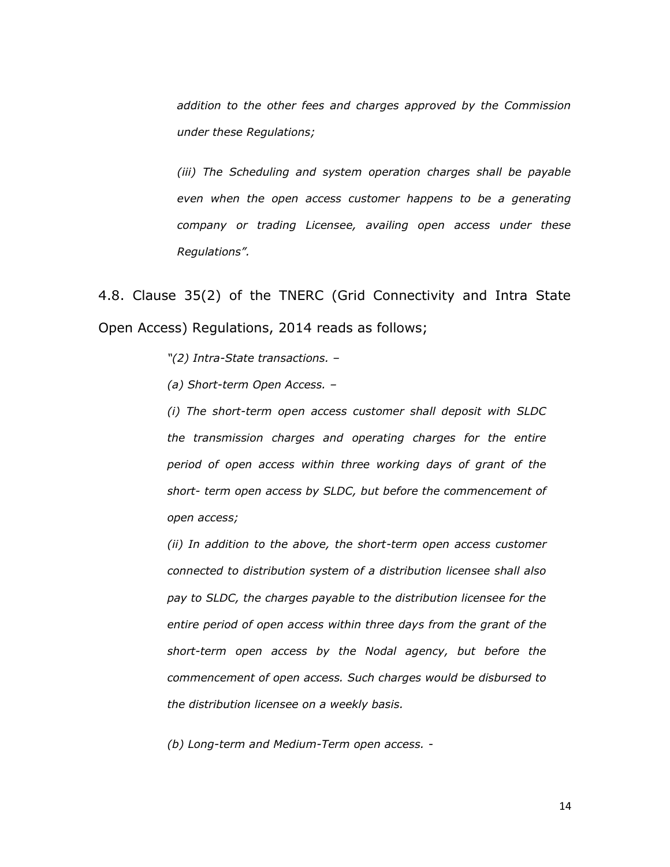*addition to the other fees and charges approved by the Commission under these Regulations;*

*(iii) The Scheduling and system operation charges shall be payable even when the open access customer happens to be a generating company or trading Licensee, availing open access under these Regulations".*

4.8. Clause 35(2) of the TNERC (Grid Connectivity and Intra State Open Access) Regulations, 2014 reads as follows;

*"(2) Intra-State transactions. –*

*(a) Short-term Open Access. –*

*(i) The short-term open access customer shall deposit with SLDC the transmission charges and operating charges for the entire period of open access within three working days of grant of the short- term open access by SLDC, but before the commencement of open access;*

*(ii) In addition to the above, the short-term open access customer connected to distribution system of a distribution licensee shall also pay to SLDC, the charges payable to the distribution licensee for the entire period of open access within three days from the grant of the short-term open access by the Nodal agency, but before the commencement of open access. Such charges would be disbursed to the distribution licensee on a weekly basis.*

*(b) Long-term and Medium-Term open access. -*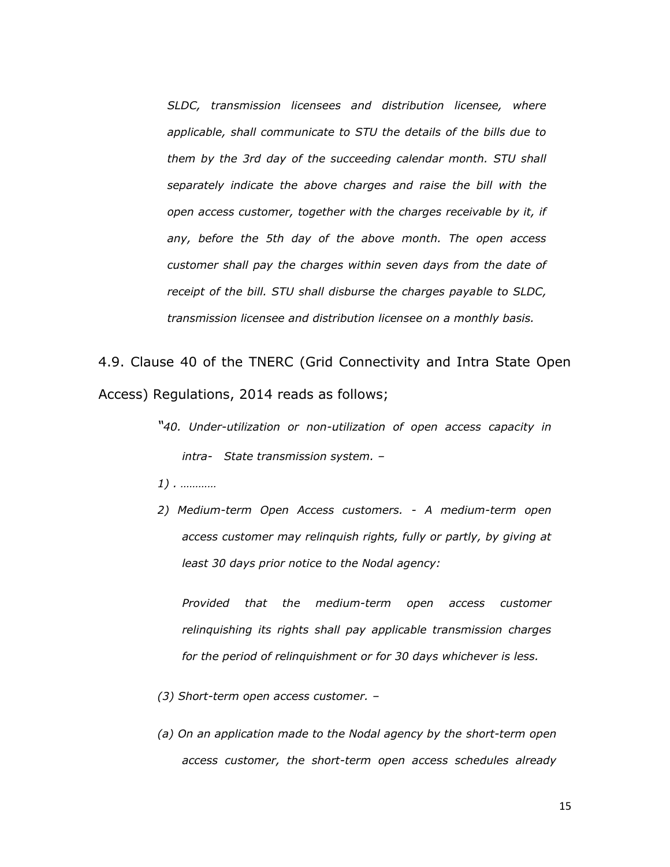*SLDC, transmission licensees and distribution licensee, where applicable, shall communicate to STU the details of the bills due to them by the 3rd day of the succeeding calendar month. STU shall separately indicate the above charges and raise the bill with the open access customer, together with the charges receivable by it, if any, before the 5th day of the above month. The open access customer shall pay the charges within seven days from the date of receipt of the bill. STU shall disburse the charges payable to SLDC, transmission licensee and distribution licensee on a monthly basis.*

4.9. Clause 40 of the TNERC (Grid Connectivity and Intra State Open Access) Regulations, 2014 reads as follows;

- *"40. Under-utilization or non-utilization of open access capacity in intra- State transmission system. –*
- *1) . …………*
- *2) Medium-term Open Access customers. - A medium-term open access customer may relinquish rights, fully or partly, by giving at least 30 days prior notice to the Nodal agency:*

*Provided that the medium-term open access customer relinquishing its rights shall pay applicable transmission charges for the period of relinquishment or for 30 days whichever is less.*

- *(3) Short-term open access customer. –*
- *(a) On an application made to the Nodal agency by the short-term open access customer, the short-term open access schedules already*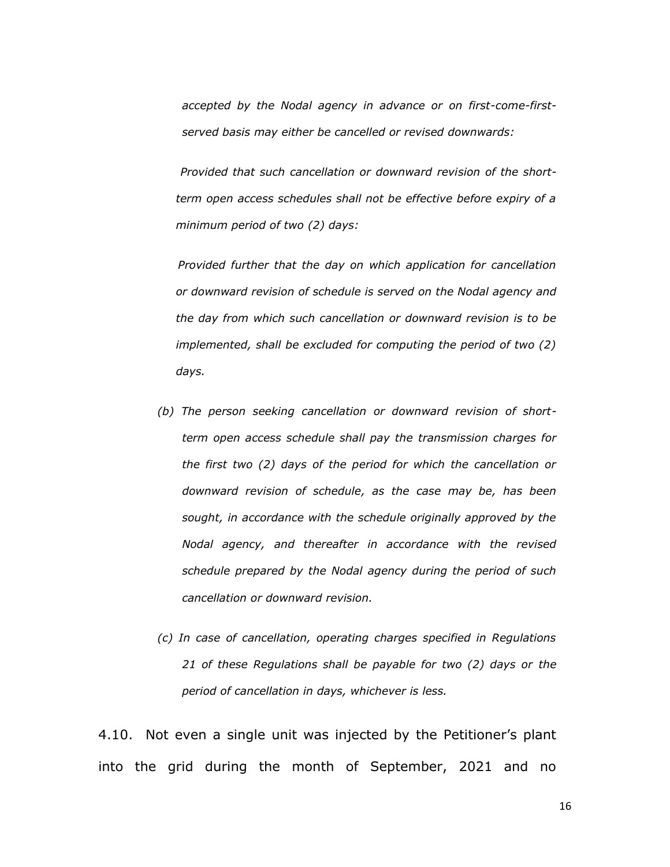*accepted by the Nodal agency in advance or on first-come-firstserved basis may either be cancelled or revised downwards:*

 *Provided that such cancellation or downward revision of the shortterm open access schedules shall not be effective before expiry of a minimum period of two (2) days:* 

 *Provided further that the day on which application for cancellation or downward revision of schedule is served on the Nodal agency and the day from which such cancellation or downward revision is to be implemented, shall be excluded for computing the period of two (2) days.*

- *(b) The person seeking cancellation or downward revision of shortterm open access schedule shall pay the transmission charges for the first two (2) days of the period for which the cancellation or downward revision of schedule, as the case may be, has been sought, in accordance with the schedule originally approved by the Nodal agency, and thereafter in accordance with the revised schedule prepared by the Nodal agency during the period of such cancellation or downward revision.*
- *(c) In case of cancellation, operating charges specified in Regulations 21 of these Regulations shall be payable for two (2) days or the period of cancellation in days, whichever is less.*

4.10. Not even a single unit was injected by the Petitioner"s plant into the grid during the month of September, 2021 and no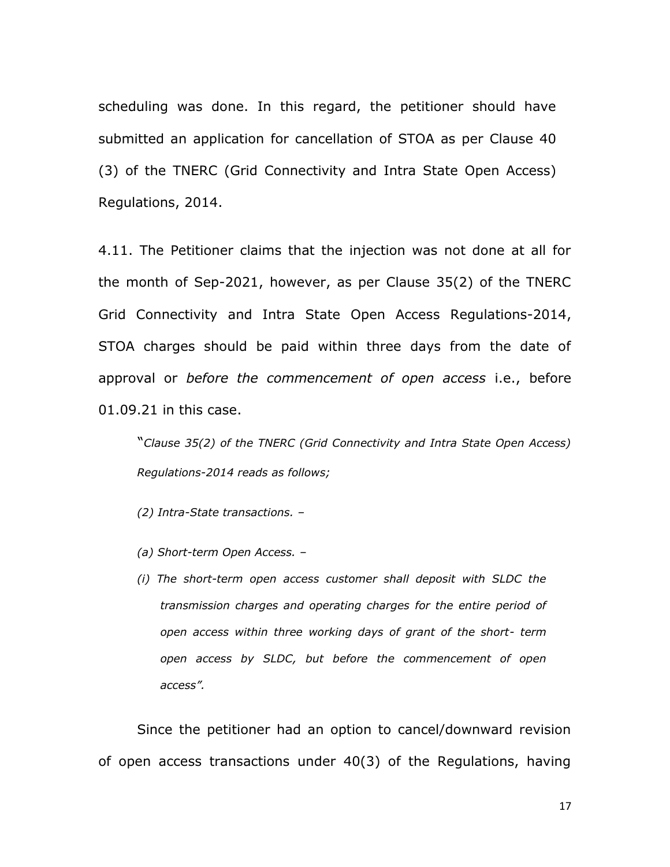scheduling was done. In this regard, the petitioner should have submitted an application for cancellation of STOA as per Clause 40 (3) of the TNERC (Grid Connectivity and Intra State Open Access) Regulations, 2014.

4.11. The Petitioner claims that the injection was not done at all for the month of Sep-2021, however, as per Clause 35(2) of the TNERC Grid Connectivity and Intra State Open Access Regulations-2014, STOA charges should be paid within three days from the date of approval or *before the commencement of open access* i.e., before 01.09.21 in this case.

"*Clause 35(2) of the TNERC (Grid Connectivity and Intra State Open Access) Regulations-2014 reads as follows;*

*(2) Intra-State transactions. –*

- *(a) Short-term Open Access. –*
- *(i) The short-term open access customer shall deposit with SLDC the transmission charges and operating charges for the entire period of open access within three working days of grant of the short- term open access by SLDC, but before the commencement of open access".*

Since the petitioner had an option to cancel/downward revision of open access transactions under 40(3) of the Regulations, having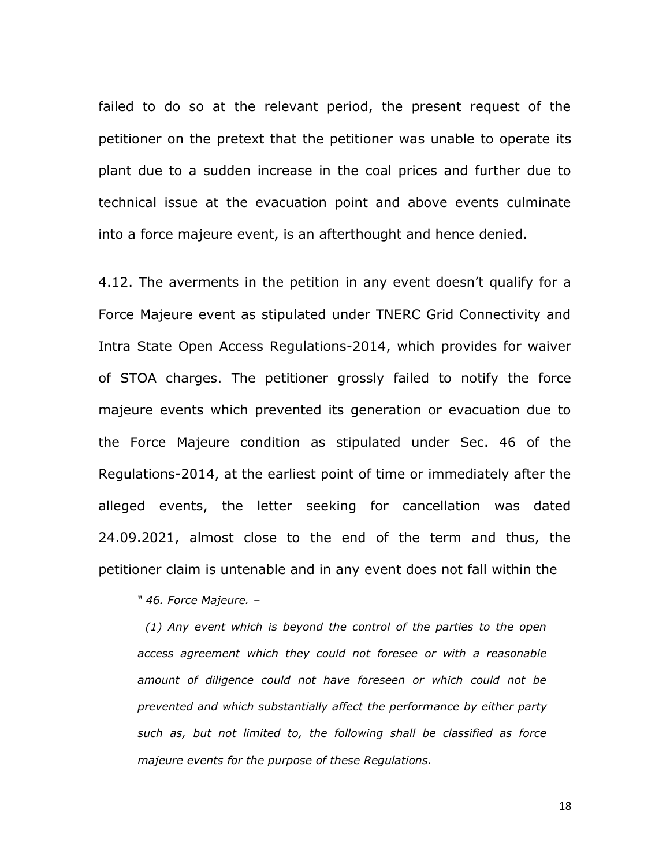failed to do so at the relevant period, the present request of the petitioner on the pretext that the petitioner was unable to operate its plant due to a sudden increase in the coal prices and further due to technical issue at the evacuation point and above events culminate into a force majeure event, is an afterthought and hence denied.

4.12. The averments in the petition in any event doesn't qualify for a Force Majeure event as stipulated under TNERC Grid Connectivity and Intra State Open Access Regulations-2014, which provides for waiver of STOA charges. The petitioner grossly failed to notify the force majeure events which prevented its generation or evacuation due to the Force Majeure condition as stipulated under Sec. 46 of the Regulations-2014, at the earliest point of time or immediately after the alleged events, the letter seeking for cancellation was dated 24.09.2021, almost close to the end of the term and thus, the petitioner claim is untenable and in any event does not fall within the

*" 46. Force Majeure. –*

 *(1) Any event which is beyond the control of the parties to the open access agreement which they could not foresee or with a reasonable amount of diligence could not have foreseen or which could not be prevented and which substantially affect the performance by either party such as, but not limited to, the following shall be classified as force majeure events for the purpose of these Regulations.*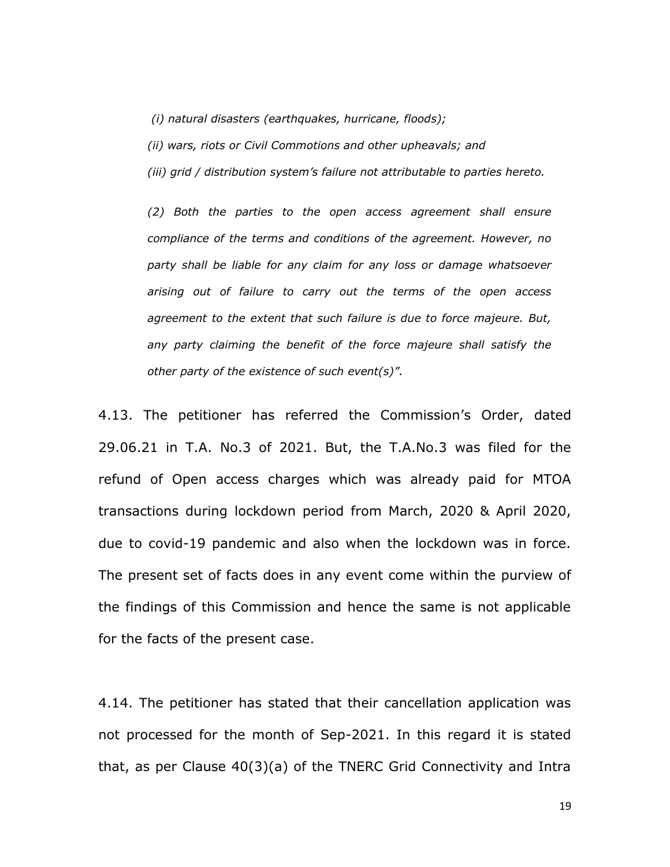*(i) natural disasters (earthquakes, hurricane, floods);*

*(ii) wars, riots or Civil Commotions and other upheavals; and*

*(iii) grid / distribution system's failure not attributable to parties hereto.*

*(2) Both the parties to the open access agreement shall ensure compliance of the terms and conditions of the agreement. However, no party shall be liable for any claim for any loss or damage whatsoever arising out of failure to carry out the terms of the open access agreement to the extent that such failure is due to force majeure. But, any party claiming the benefit of the force majeure shall satisfy the other party of the existence of such event(s)".*

4.13. The petitioner has referred the Commission"s Order, dated 29.06.21 in T.A. No.3 of 2021. But, the T.A.No.3 was filed for the refund of Open access charges which was already paid for MTOA transactions during lockdown period from March, 2020 & April 2020, due to covid-19 pandemic and also when the lockdown was in force. The present set of facts does in any event come within the purview of the findings of this Commission and hence the same is not applicable for the facts of the present case.

4.14. The petitioner has stated that their cancellation application was not processed for the month of Sep-2021. In this regard it is stated that, as per Clause 40(3)(a) of the TNERC Grid Connectivity and Intra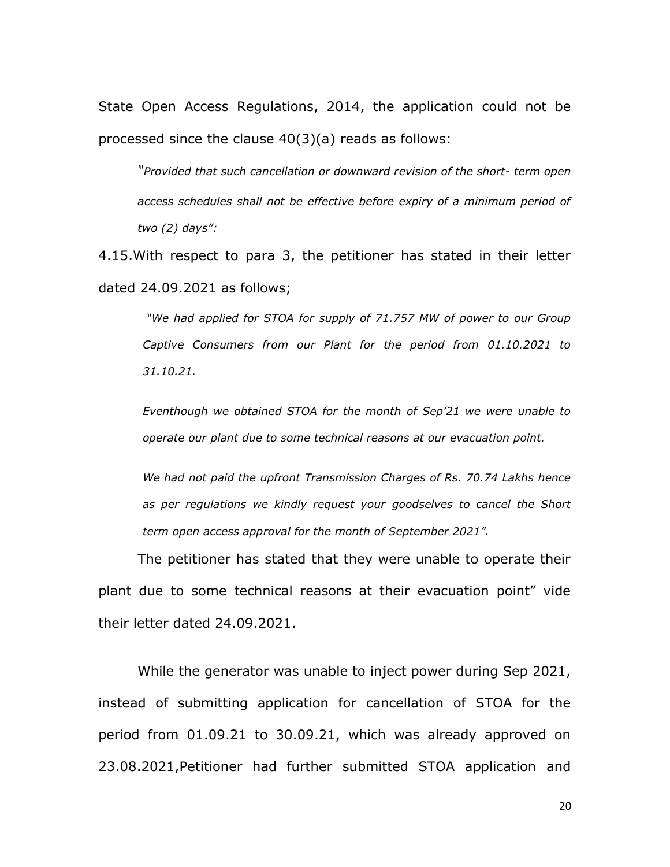State Open Access Regulations, 2014, the application could not be processed since the clause 40(3)(a) reads as follows:

*"Provided that such cancellation or downward revision of the short- term open access schedules shall not be effective before expiry of a minimum period of two (2) days":* 

4.15.With respect to para 3, the petitioner has stated in their letter dated 24.09.2021 as follows;

*"We had applied for STOA for supply of 71.757 MW of power to our Group Captive Consumers from our Plant for the period from 01.10.2021 to 31.10.21.* 

*Eventhough we obtained STOA for the month of Sep'21 we were unable to operate our plant due to some technical reasons at our evacuation point.*

*We had not paid the upfront Transmission Charges of Rs. 70.74 Lakhs hence as per regulations we kindly request your goodselves to cancel the Short term open access approval for the month of September 2021".*

The petitioner has stated that they were unable to operate their plant due to some technical reasons at their evacuation point" vide their letter dated 24.09.2021.

While the generator was unable to inject power during Sep 2021, instead of submitting application for cancellation of STOA for the period from 01.09.21 to 30.09.21, which was already approved on 23.08.2021,Petitioner had further submitted STOA application and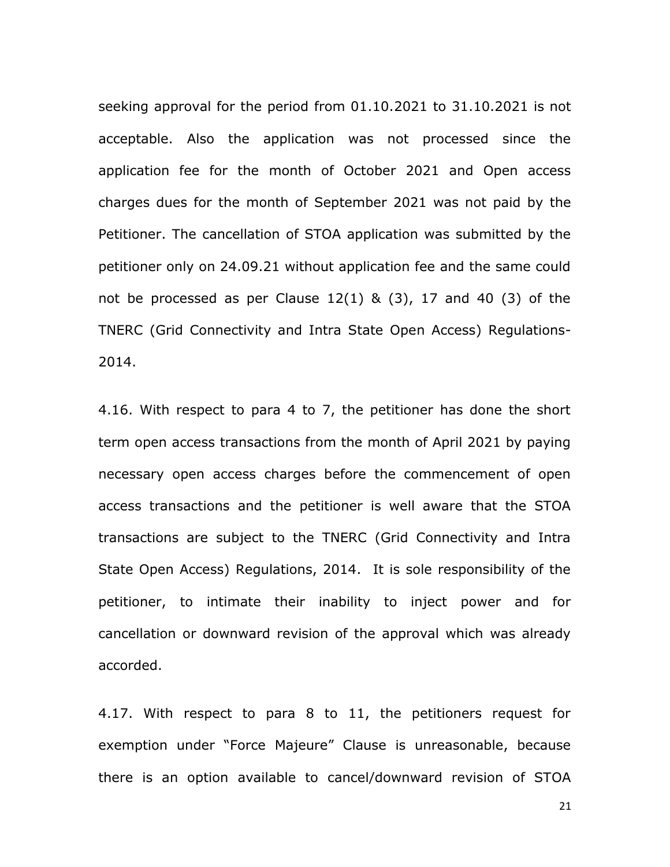seeking approval for the period from 01.10.2021 to 31.10.2021 is not acceptable. Also the application was not processed since the application fee for the month of October 2021 and Open access charges dues for the month of September 2021 was not paid by the Petitioner. The cancellation of STOA application was submitted by the petitioner only on 24.09.21 without application fee and the same could not be processed as per Clause  $12(1)$  &  $(3)$ , 17 and 40  $(3)$  of the TNERC (Grid Connectivity and Intra State Open Access) Regulations-2014.

4.16. With respect to para 4 to 7, the petitioner has done the short term open access transactions from the month of April 2021 by paying necessary open access charges before the commencement of open access transactions and the petitioner is well aware that the STOA transactions are subject to the TNERC (Grid Connectivity and Intra State Open Access) Regulations, 2014. It is sole responsibility of the petitioner, to intimate their inability to inject power and for cancellation or downward revision of the approval which was already accorded.

4.17. With respect to para 8 to 11, the petitioners request for exemption under "Force Majeure" Clause is unreasonable, because there is an option available to cancel/downward revision of STOA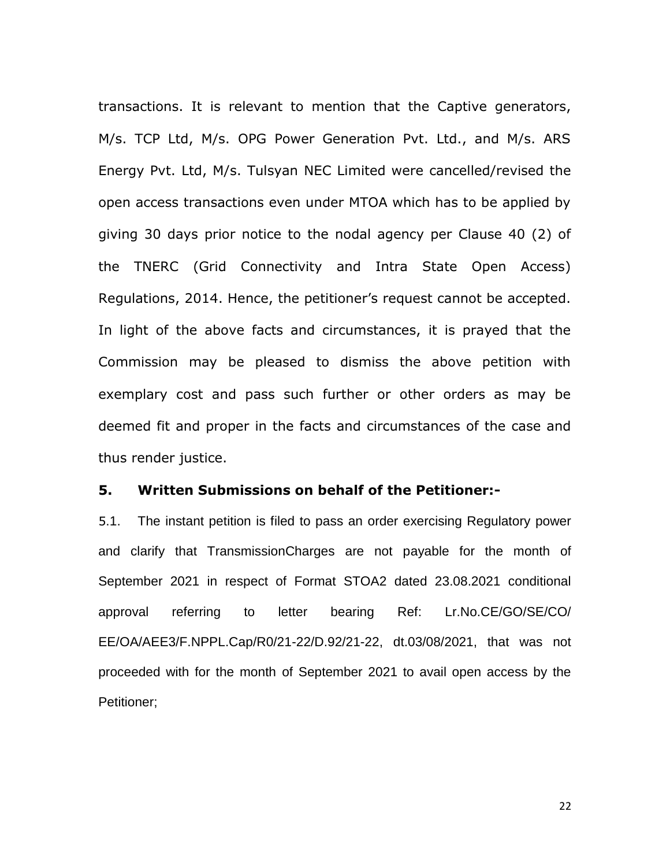transactions. It is relevant to mention that the Captive generators, M/s. TCP Ltd, M/s. OPG Power Generation Pvt. Ltd., and M/s. ARS Energy Pvt. Ltd, M/s. Tulsyan NEC Limited were cancelled/revised the open access transactions even under MTOA which has to be applied by giving 30 days prior notice to the nodal agency per Clause 40 (2) of the TNERC (Grid Connectivity and Intra State Open Access) Regulations, 2014. Hence, the petitioner"s request cannot be accepted. In light of the above facts and circumstances, it is prayed that the Commission may be pleased to dismiss the above petition with exemplary cost and pass such further or other orders as may be deemed fit and proper in the facts and circumstances of the case and thus render justice.

## **5. Written Submissions on behalf of the Petitioner:-**

5.1. The instant petition is filed to pass an order exercising Regulatory power and clarify that TransmissionCharges are not payable for the month of September 2021 in respect of Format STOA2 dated 23.08.2021 conditional approval referring to letter bearing Ref: Lr.No.CE/GO/SE/CO/ EE/OA/AEE3/F.NPPL.Cap/R0/21-22/D.92/21-22, dt.03/08/2021, that was not proceeded with for the month of September 2021 to avail open access by the Petitioner;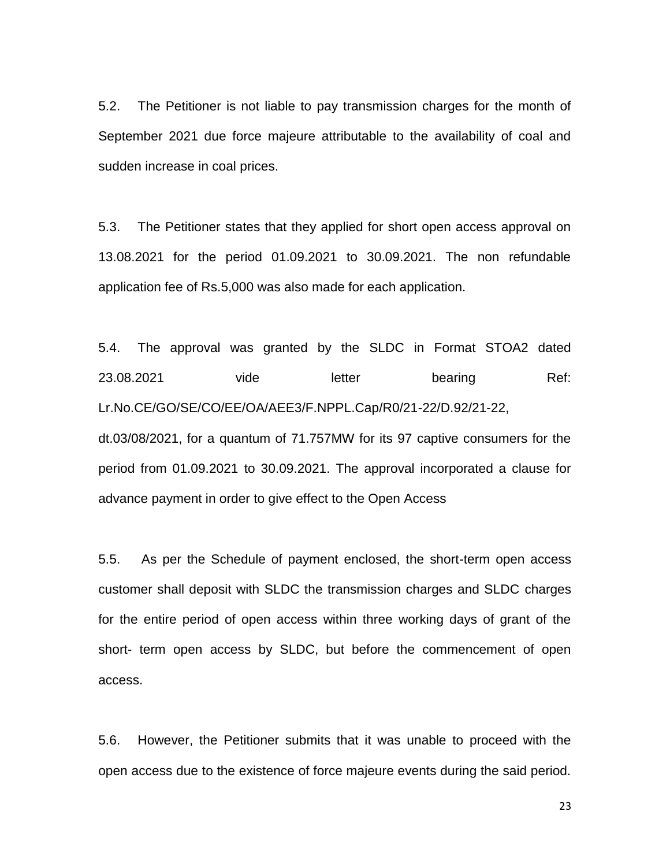5.2. The Petitioner is not liable to pay transmission charges for the month of September 2021 due force majeure attributable to the availability of coal and sudden increase in coal prices.

5.3. The Petitioner states that they applied for short open access approval on 13.08.2021 for the period 01.09.2021 to 30.09.2021. The non refundable application fee of Rs.5,000 was also made for each application.

5.4. The approval was granted by the SLDC in Format STOA2 dated 23.08.2021 vide letter bearing Ref: Lr.No.CE/GO/SE/CO/EE/OA/AEE3/F.NPPL.Cap/R0/21-22/D.92/21-22, dt.03/08/2021, for a quantum of 71.757MW for its 97 captive consumers for the period from 01.09.2021 to 30.09.2021. The approval incorporated a clause for advance payment in order to give effect to the Open Access

5.5. As per the Schedule of payment enclosed, the short-term open access customer shall deposit with SLDC the transmission charges and SLDC charges for the entire period of open access within three working days of grant of the short- term open access by SLDC, but before the commencement of open access.

5.6. However, the Petitioner submits that it was unable to proceed with the open access due to the existence of force majeure events during the said period.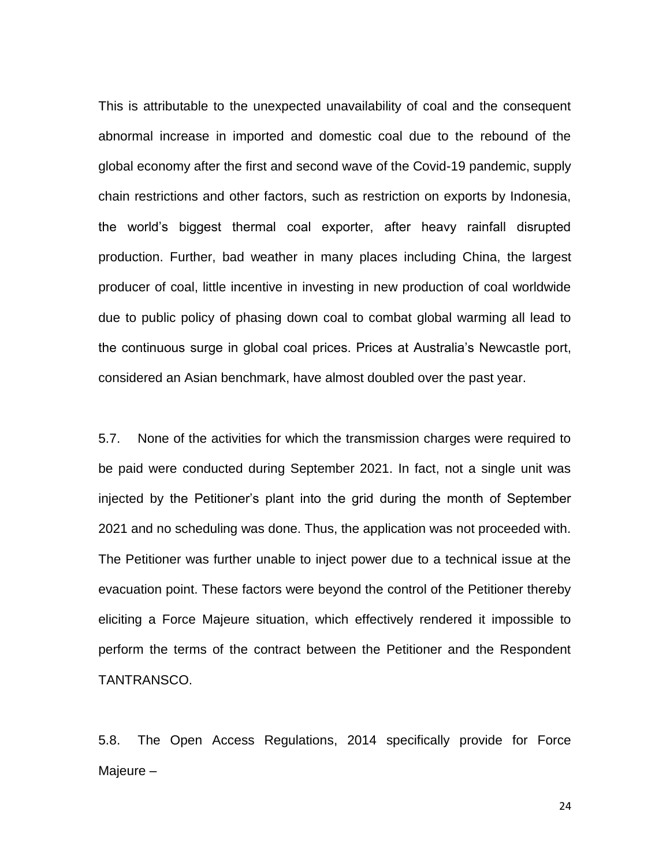This is attributable to the unexpected unavailability of coal and the consequent abnormal increase in imported and domestic coal due to the rebound of the global economy after the first and second wave of the Covid-19 pandemic, supply chain restrictions and other factors, such as restriction on exports by Indonesia, the world's biggest thermal coal exporter, after heavy rainfall disrupted production. Further, bad weather in many places including China, the largest producer of coal, little incentive in investing in new production of coal worldwide due to public policy of phasing down coal to combat global warming all lead to the continuous surge in global coal prices. Prices at Australia's Newcastle port, considered an Asian benchmark, have almost doubled over the past year.

5.7. None of the activities for which the transmission charges were required to be paid were conducted during September 2021. In fact, not a single unit was injected by the Petitioner's plant into the grid during the month of September 2021 and no scheduling was done. Thus, the application was not proceeded with. The Petitioner was further unable to inject power due to a technical issue at the evacuation point. These factors were beyond the control of the Petitioner thereby eliciting a Force Majeure situation, which effectively rendered it impossible to perform the terms of the contract between the Petitioner and the Respondent TANTRANSCO.

5.8. The Open Access Regulations, 2014 specifically provide for Force Majeure –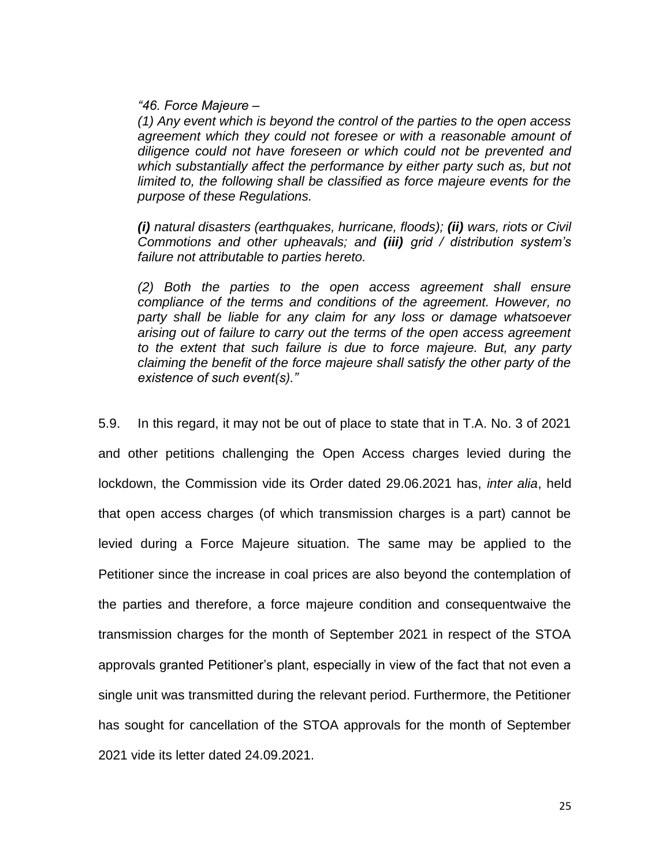*"46. Force Majeure –*

*(1) Any event which is beyond the control of the parties to the open access agreement which they could not foresee or with a reasonable amount of diligence could not have foreseen or which could not be prevented and which substantially affect the performance by either party such as, but not limited to, the following shall be classified as force majeure events for the purpose of these Regulations.* 

*(i) natural disasters (earthquakes, hurricane, floods); (ii) wars, riots or Civil Commotions and other upheavals; and (iii) grid / distribution system's failure not attributable to parties hereto.* 

*(2) Both the parties to the open access agreement shall ensure compliance of the terms and conditions of the agreement. However, no party shall be liable for any claim for any loss or damage whatsoever arising out of failure to carry out the terms of the open access agreement to the extent that such failure is due to force majeure. But, any party claiming the benefit of the force majeure shall satisfy the other party of the existence of such event(s)."* 

5.9. In this regard, it may not be out of place to state that in T.A. No. 3 of 2021 and other petitions challenging the Open Access charges levied during the lockdown, the Commission vide its Order dated 29.06.2021 has, *inter alia*, held that open access charges (of which transmission charges is a part) cannot be levied during a Force Majeure situation. The same may be applied to the Petitioner since the increase in coal prices are also beyond the contemplation of the parties and therefore, a force majeure condition and consequentwaive the transmission charges for the month of September 2021 in respect of the STOA approvals granted Petitioner's plant, especially in view of the fact that not even a single unit was transmitted during the relevant period. Furthermore, the Petitioner has sought for cancellation of the STOA approvals for the month of September 2021 vide its letter dated 24.09.2021.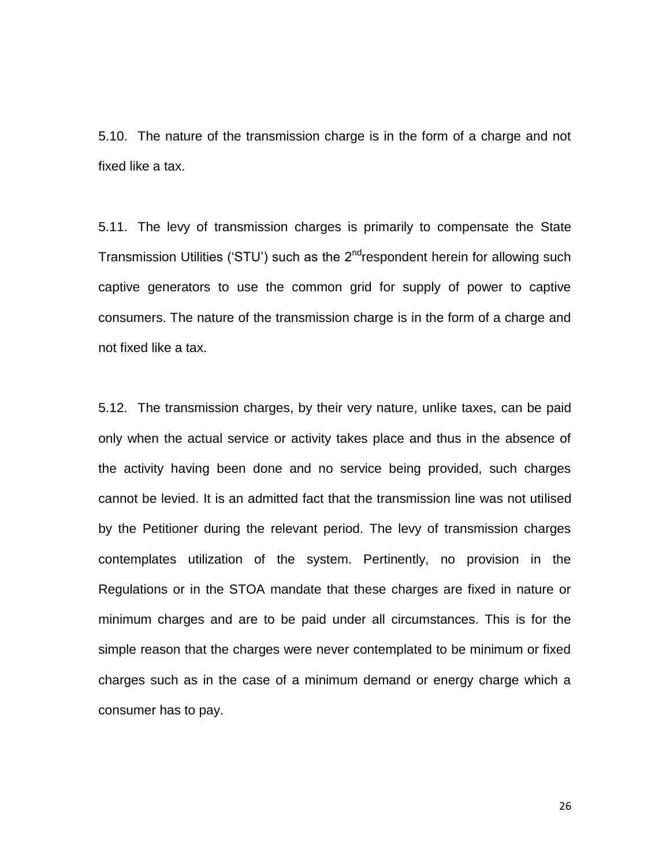5.10. The nature of the transmission charge is in the form of a charge and not fixed like a tax.

5.11. The levy of transmission charges is primarily to compensate the State Transmission Utilities ('STU') such as the  $2^{nd}$ respondent herein for allowing such captive generators to use the common grid for supply of power to captive consumers. The nature of the transmission charge is in the form of a charge and not fixed like a tax.

5.12. The transmission charges, by their very nature, unlike taxes, can be paid only when the actual service or activity takes place and thus in the absence of the activity having been done and no service being provided, such charges cannot be levied. It is an admitted fact that the transmission line was not utilised by the Petitioner during the relevant period. The levy of transmission charges contemplates utilization of the system. Pertinently, no provision in the Regulations or in the STOA mandate that these charges are fixed in nature or minimum charges and are to be paid under all circumstances. This is for the simple reason that the charges were never contemplated to be minimum or fixed charges such as in the case of a minimum demand or energy charge which a consumer has to pay.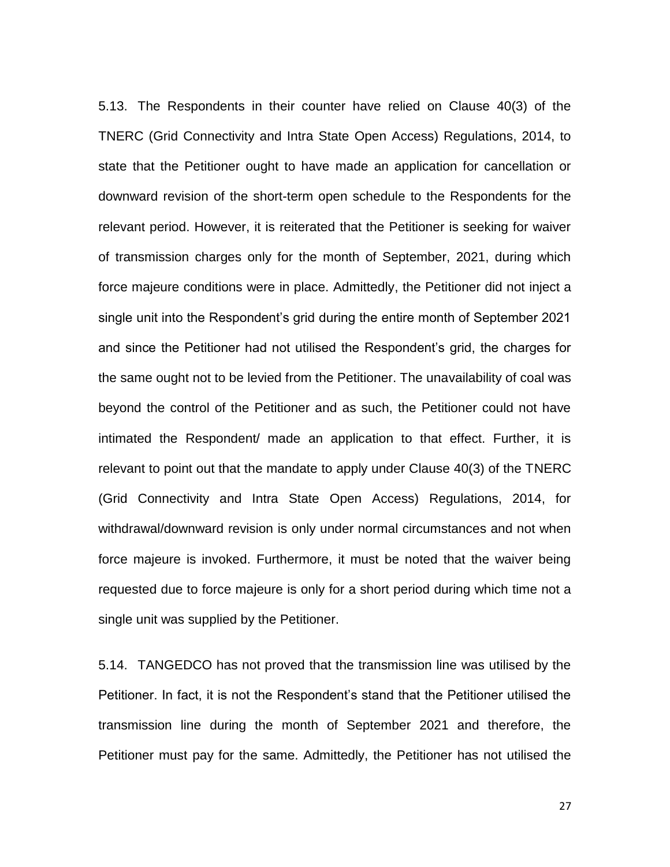5.13. The Respondents in their counter have relied on Clause 40(3) of the TNERC (Grid Connectivity and Intra State Open Access) Regulations, 2014, to state that the Petitioner ought to have made an application for cancellation or downward revision of the short-term open schedule to the Respondents for the relevant period. However, it is reiterated that the Petitioner is seeking for waiver of transmission charges only for the month of September, 2021, during which force majeure conditions were in place. Admittedly, the Petitioner did not inject a single unit into the Respondent's grid during the entire month of September 2021 and since the Petitioner had not utilised the Respondent's grid, the charges for the same ought not to be levied from the Petitioner. The unavailability of coal was beyond the control of the Petitioner and as such, the Petitioner could not have intimated the Respondent/ made an application to that effect. Further, it is relevant to point out that the mandate to apply under Clause 40(3) of the TNERC (Grid Connectivity and Intra State Open Access) Regulations, 2014, for withdrawal/downward revision is only under normal circumstances and not when force majeure is invoked. Furthermore, it must be noted that the waiver being requested due to force majeure is only for a short period during which time not a single unit was supplied by the Petitioner.

5.14. TANGEDCO has not proved that the transmission line was utilised by the Petitioner. In fact, it is not the Respondent's stand that the Petitioner utilised the transmission line during the month of September 2021 and therefore, the Petitioner must pay for the same. Admittedly, the Petitioner has not utilised the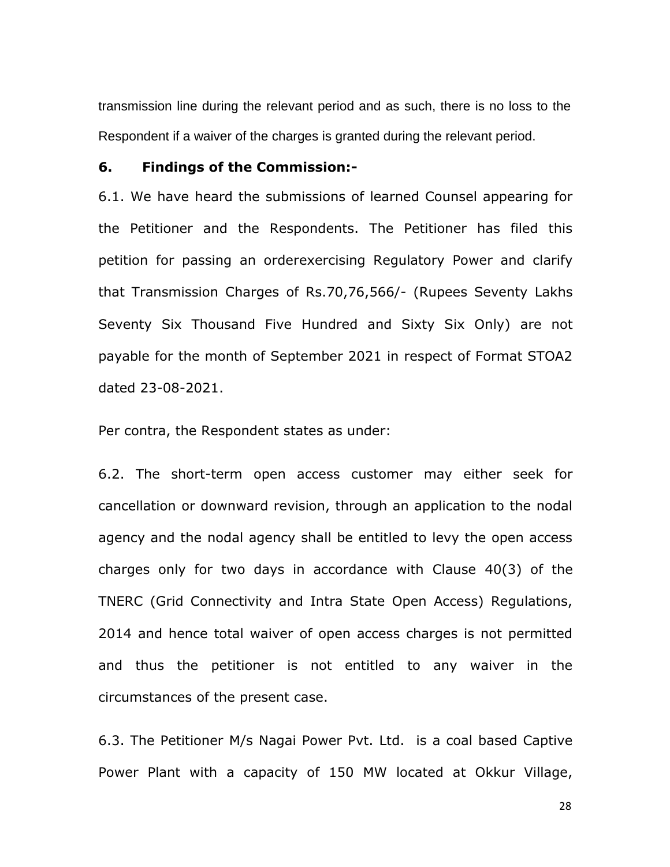transmission line during the relevant period and as such, there is no loss to the Respondent if a waiver of the charges is granted during the relevant period.

#### **6. Findings of the Commission:-**

6.1. We have heard the submissions of learned Counsel appearing for the Petitioner and the Respondents. The Petitioner has filed this petition for passing an orderexercising Regulatory Power and clarify that Transmission Charges of Rs.70,76,566/- (Rupees Seventy Lakhs Seventy Six Thousand Five Hundred and Sixty Six Only) are not payable for the month of September 2021 in respect of Format STOA2 dated 23-08-2021.

Per contra, the Respondent states as under:

6.2. The short-term open access customer may either seek for cancellation or downward revision, through an application to the nodal agency and the nodal agency shall be entitled to levy the open access charges only for two days in accordance with Clause 40(3) of the TNERC (Grid Connectivity and Intra State Open Access) Regulations, 2014 and hence total waiver of open access charges is not permitted and thus the petitioner is not entitled to any waiver in the circumstances of the present case.

6.3. The Petitioner M/s Nagai Power Pvt. Ltd. is a coal based Captive Power Plant with a capacity of 150 MW located at Okkur Village,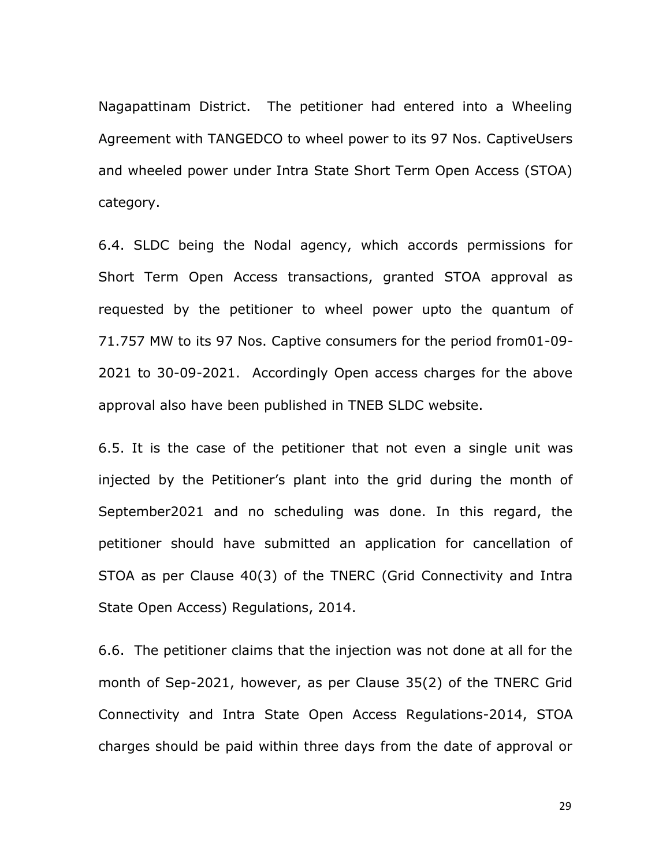Nagapattinam District. The petitioner had entered into a Wheeling Agreement with TANGEDCO to wheel power to its 97 Nos. CaptiveUsers and wheeled power under Intra State Short Term Open Access (STOA) category.

6.4. SLDC being the Nodal agency, which accords permissions for Short Term Open Access transactions, granted STOA approval as requested by the petitioner to wheel power upto the quantum of 71.757 MW to its 97 Nos. Captive consumers for the period from01-09- 2021 to 30-09-2021. Accordingly Open access charges for the above approval also have been published in TNEB SLDC website.

6.5. It is the case of the petitioner that not even a single unit was injected by the Petitioner"s plant into the grid during the month of September2021 and no scheduling was done. In this regard, the petitioner should have submitted an application for cancellation of STOA as per Clause 40(3) of the TNERC (Grid Connectivity and Intra State Open Access) Regulations, 2014.

6.6. The petitioner claims that the injection was not done at all for the month of Sep-2021, however, as per Clause 35(2) of the TNERC Grid Connectivity and Intra State Open Access Regulations-2014, STOA charges should be paid within three days from the date of approval or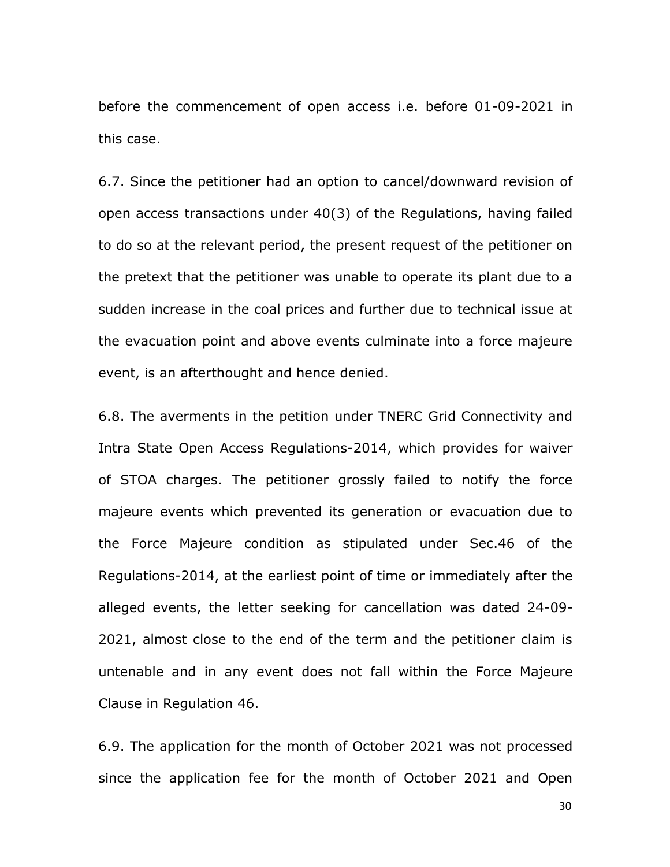before the commencement of open access i.e. before 01-09-2021 in this case.

6.7. Since the petitioner had an option to cancel/downward revision of open access transactions under 40(3) of the Regulations, having failed to do so at the relevant period, the present request of the petitioner on the pretext that the petitioner was unable to operate its plant due to a sudden increase in the coal prices and further due to technical issue at the evacuation point and above events culminate into a force majeure event, is an afterthought and hence denied.

6.8. The averments in the petition under TNERC Grid Connectivity and Intra State Open Access Regulations-2014, which provides for waiver of STOA charges. The petitioner grossly failed to notify the force majeure events which prevented its generation or evacuation due to the Force Majeure condition as stipulated under Sec.46 of the Regulations-2014, at the earliest point of time or immediately after the alleged events, the letter seeking for cancellation was dated 24-09- 2021, almost close to the end of the term and the petitioner claim is untenable and in any event does not fall within the Force Majeure Clause in Regulation 46.

6.9. The application for the month of October 2021 was not processed since the application fee for the month of October 2021 and Open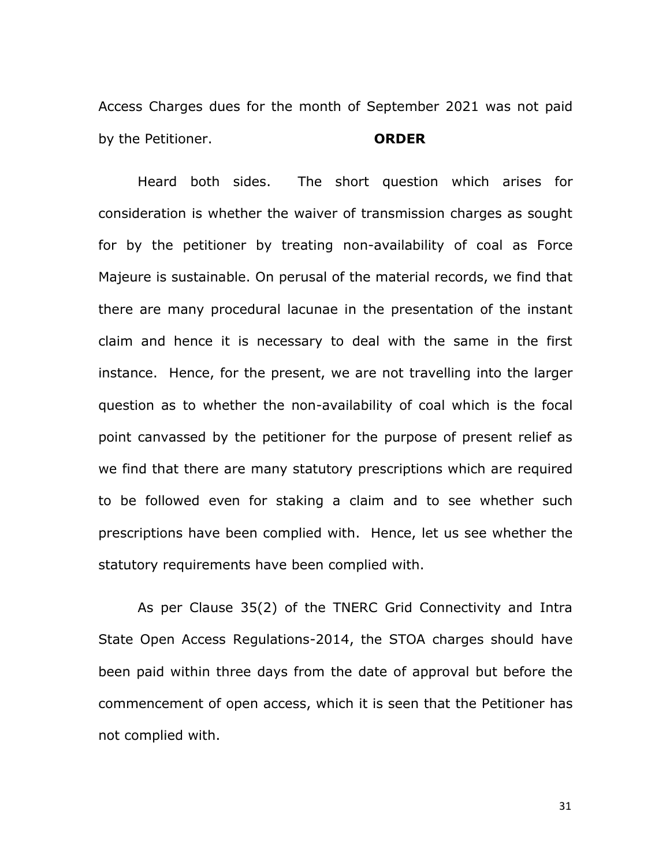Access Charges dues for the month of September 2021 was not paid by the Petitioner. **ORDER**

Heard both sides. The short question which arises for consideration is whether the waiver of transmission charges as sought for by the petitioner by treating non-availability of coal as Force Majeure is sustainable. On perusal of the material records, we find that there are many procedural lacunae in the presentation of the instant claim and hence it is necessary to deal with the same in the first instance. Hence, for the present, we are not travelling into the larger question as to whether the non-availability of coal which is the focal point canvassed by the petitioner for the purpose of present relief as we find that there are many statutory prescriptions which are required to be followed even for staking a claim and to see whether such prescriptions have been complied with. Hence, let us see whether the statutory requirements have been complied with.

As per Clause 35(2) of the TNERC Grid Connectivity and Intra State Open Access Regulations-2014, the STOA charges should have been paid within three days from the date of approval but before the commencement of open access, which it is seen that the Petitioner has not complied with.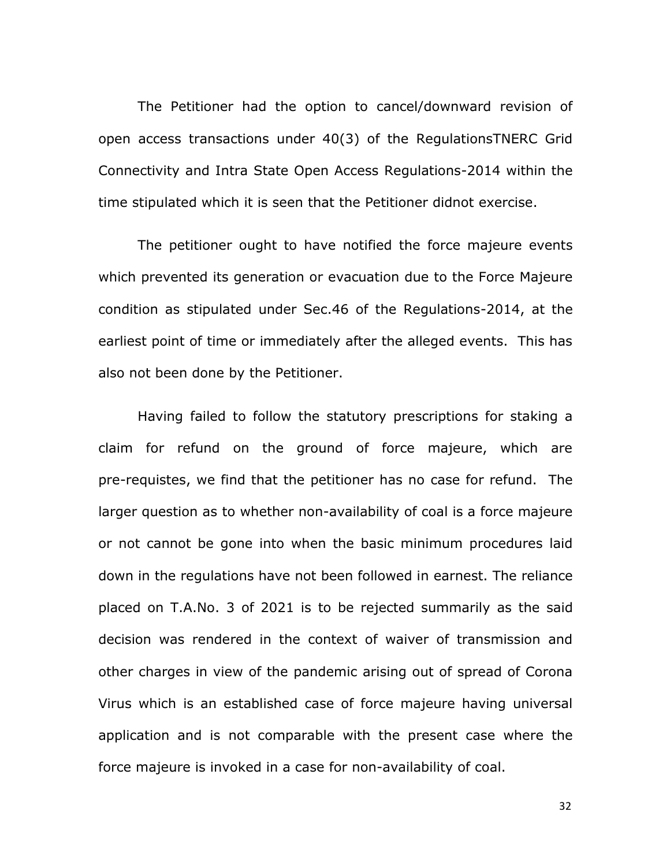The Petitioner had the option to cancel/downward revision of open access transactions under 40(3) of the RegulationsTNERC Grid Connectivity and Intra State Open Access Regulations-2014 within the time stipulated which it is seen that the Petitioner didnot exercise.

The petitioner ought to have notified the force majeure events which prevented its generation or evacuation due to the Force Majeure condition as stipulated under Sec.46 of the Regulations-2014, at the earliest point of time or immediately after the alleged events. This has also not been done by the Petitioner.

Having failed to follow the statutory prescriptions for staking a claim for refund on the ground of force majeure, which are pre-requistes, we find that the petitioner has no case for refund. The larger question as to whether non-availability of coal is a force majeure or not cannot be gone into when the basic minimum procedures laid down in the regulations have not been followed in earnest. The reliance placed on T.A.No. 3 of 2021 is to be rejected summarily as the said decision was rendered in the context of waiver of transmission and other charges in view of the pandemic arising out of spread of Corona Virus which is an established case of force majeure having universal application and is not comparable with the present case where the force majeure is invoked in a case for non-availability of coal.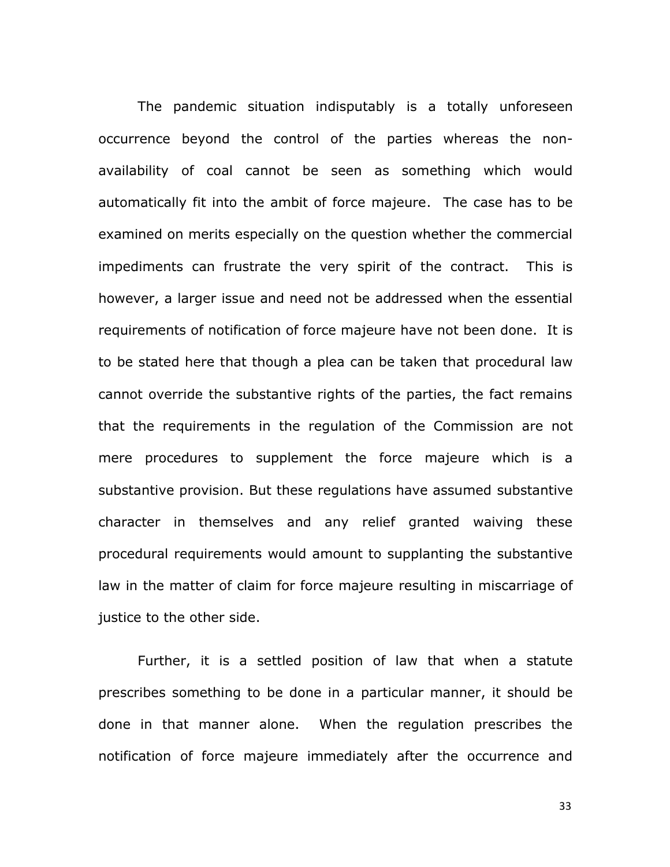The pandemic situation indisputably is a totally unforeseen occurrence beyond the control of the parties whereas the nonavailability of coal cannot be seen as something which would automatically fit into the ambit of force majeure. The case has to be examined on merits especially on the question whether the commercial impediments can frustrate the very spirit of the contract. This is however, a larger issue and need not be addressed when the essential requirements of notification of force majeure have not been done. It is to be stated here that though a plea can be taken that procedural law cannot override the substantive rights of the parties, the fact remains that the requirements in the regulation of the Commission are not mere procedures to supplement the force majeure which is a substantive provision. But these regulations have assumed substantive character in themselves and any relief granted waiving these procedural requirements would amount to supplanting the substantive law in the matter of claim for force majeure resulting in miscarriage of justice to the other side.

Further, it is a settled position of law that when a statute prescribes something to be done in a particular manner, it should be done in that manner alone. When the regulation prescribes the notification of force majeure immediately after the occurrence and